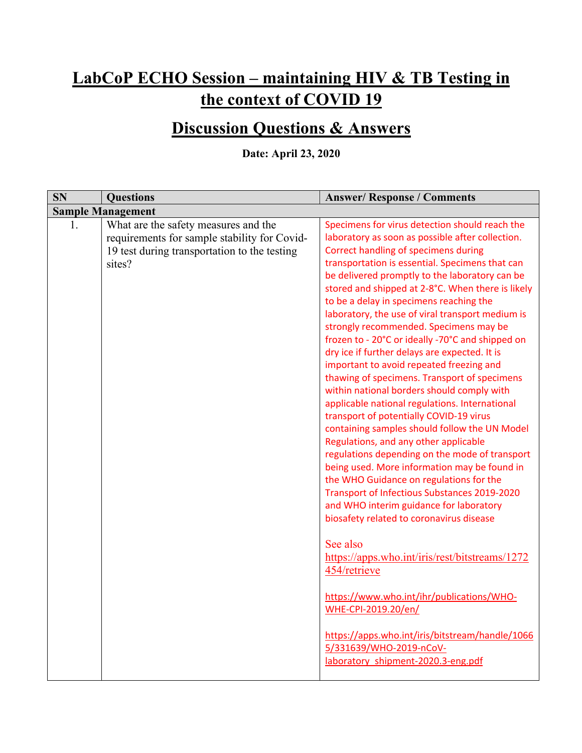## **LabCoP ECHO Session – maintaining HIV & TB Testing in the context of COVID 19**

## **Discussion Questions & Answers**

**Date: April 23, 2020**

| <b>SN</b> | <b>Questions</b>                                                                                                                               | <b>Answer/ Response / Comments</b>                                                                                                                                                                                                                                                                                                                                                                                                                                                                                                                                                                                                                                                                                                                                                                                                                                                                                                                                                                                                                                                                                                                                                                                                                                                                                                                                                                                                            |
|-----------|------------------------------------------------------------------------------------------------------------------------------------------------|-----------------------------------------------------------------------------------------------------------------------------------------------------------------------------------------------------------------------------------------------------------------------------------------------------------------------------------------------------------------------------------------------------------------------------------------------------------------------------------------------------------------------------------------------------------------------------------------------------------------------------------------------------------------------------------------------------------------------------------------------------------------------------------------------------------------------------------------------------------------------------------------------------------------------------------------------------------------------------------------------------------------------------------------------------------------------------------------------------------------------------------------------------------------------------------------------------------------------------------------------------------------------------------------------------------------------------------------------------------------------------------------------------------------------------------------------|
|           | <b>Sample Management</b>                                                                                                                       |                                                                                                                                                                                                                                                                                                                                                                                                                                                                                                                                                                                                                                                                                                                                                                                                                                                                                                                                                                                                                                                                                                                                                                                                                                                                                                                                                                                                                                               |
| 1.        | What are the safety measures and the<br>requirements for sample stability for Covid-<br>19 test during transportation to the testing<br>sites? | Specimens for virus detection should reach the<br>laboratory as soon as possible after collection.<br>Correct handling of specimens during<br>transportation is essential. Specimens that can<br>be delivered promptly to the laboratory can be<br>stored and shipped at 2-8°C. When there is likely<br>to be a delay in specimens reaching the<br>laboratory, the use of viral transport medium is<br>strongly recommended. Specimens may be<br>frozen to - 20°C or ideally -70°C and shipped on<br>dry ice if further delays are expected. It is<br>important to avoid repeated freezing and<br>thawing of specimens. Transport of specimens<br>within national borders should comply with<br>applicable national regulations. International<br>transport of potentially COVID-19 virus<br>containing samples should follow the UN Model<br>Regulations, and any other applicable<br>regulations depending on the mode of transport<br>being used. More information may be found in<br>the WHO Guidance on regulations for the<br>Transport of Infectious Substances 2019-2020<br>and WHO interim guidance for laboratory<br>biosafety related to coronavirus disease<br>See also<br>https://apps.who.int/iris/rest/bitstreams/1272<br>454/retrieve<br>https://www.who.int/ihr/publications/WHO-<br>WHE-CPI-2019.20/en/<br>https://apps.who.int/iris/bitstream/handle/1066<br>5/331639/WHO-2019-nCoV-<br>laboratory shipment-2020.3-eng.pdf |
|           |                                                                                                                                                |                                                                                                                                                                                                                                                                                                                                                                                                                                                                                                                                                                                                                                                                                                                                                                                                                                                                                                                                                                                                                                                                                                                                                                                                                                                                                                                                                                                                                                               |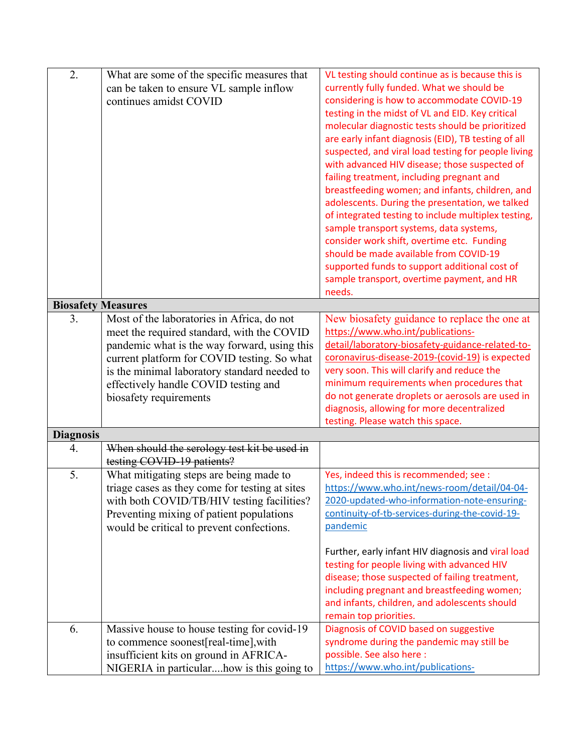| 2.                        | What are some of the specific measures that    | VL testing should continue as is because this is                                        |
|---------------------------|------------------------------------------------|-----------------------------------------------------------------------------------------|
|                           | can be taken to ensure VL sample inflow        | currently fully funded. What we should be<br>considering is how to accommodate COVID-19 |
|                           | continues amidst COVID                         | testing in the midst of VL and EID. Key critical                                        |
|                           |                                                | molecular diagnostic tests should be prioritized                                        |
|                           |                                                | are early infant diagnosis (EID), TB testing of all                                     |
|                           |                                                | suspected, and viral load testing for people living                                     |
|                           |                                                | with advanced HIV disease; those suspected of                                           |
|                           |                                                | failing treatment, including pregnant and                                               |
|                           |                                                | breastfeeding women; and infants, children, and                                         |
|                           |                                                | adolescents. During the presentation, we talked                                         |
|                           |                                                | of integrated testing to include multiplex testing,                                     |
|                           |                                                | sample transport systems, data systems,                                                 |
|                           |                                                | consider work shift, overtime etc. Funding                                              |
|                           |                                                | should be made available from COVID-19                                                  |
|                           |                                                | supported funds to support additional cost of                                           |
|                           |                                                | sample transport, overtime payment, and HR                                              |
|                           |                                                | needs.                                                                                  |
| <b>Biosafety Measures</b> |                                                |                                                                                         |
| 3.                        | Most of the laboratories in Africa, do not     | New biosafety guidance to replace the one at                                            |
|                           | meet the required standard, with the COVID     | https://www.who.int/publications-                                                       |
|                           | pandemic what is the way forward, using this   | detail/laboratory-biosafety-guidance-related-to-                                        |
|                           | current platform for COVID testing. So what    | coronavirus-disease-2019-(covid-19) is expected                                         |
|                           | is the minimal laboratory standard needed to   | very soon. This will clarify and reduce the                                             |
|                           | effectively handle COVID testing and           | minimum requirements when procedures that                                               |
|                           | biosafety requirements                         | do not generate droplets or aerosols are used in                                        |
|                           |                                                | diagnosis, allowing for more decentralized                                              |
|                           |                                                | testing. Please watch this space.                                                       |
| <b>Diagnosis</b><br>4.    | When should the serology test kit be used in   |                                                                                         |
|                           | testing COVID-19 patients?                     |                                                                                         |
| 5.                        | What mitigating steps are being made to        | Yes, indeed this is recommended; see :                                                  |
|                           | triage cases as they come for testing at sites | https://www.who.int/news-room/detail/04-04-                                             |
|                           | with both COVID/TB/HIV testing facilities?     | 2020-updated-who-information-note-ensuring-                                             |
|                           | Preventing mixing of patient populations       | continuity-of-tb-services-during-the-covid-19-                                          |
|                           | would be critical to prevent confections.      | pandemic                                                                                |
|                           |                                                |                                                                                         |
|                           |                                                | Further, early infant HIV diagnosis and viral load                                      |
|                           |                                                | testing for people living with advanced HIV                                             |
|                           |                                                | disease; those suspected of failing treatment,                                          |
|                           |                                                | including pregnant and breastfeeding women;                                             |
|                           |                                                | and infants, children, and adolescents should                                           |
|                           |                                                | remain top priorities.                                                                  |
| 6.                        | Massive house to house testing for covid-19    | Diagnosis of COVID based on suggestive                                                  |
|                           | to commence soonest[real-time], with           | syndrome during the pandemic may still be                                               |
|                           | insufficient kits on ground in AFRICA-         | possible. See also here :                                                               |
|                           | NIGERIA in particularhow is this going to      | https://www.who.int/publications-                                                       |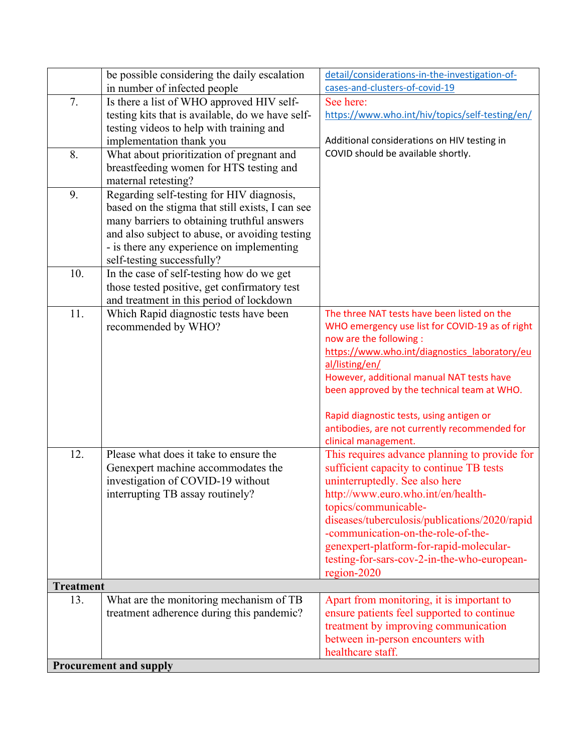|                  | be possible considering the daily escalation     | detail/considerations-in-the-investigation-of-                           |
|------------------|--------------------------------------------------|--------------------------------------------------------------------------|
|                  | in number of infected people                     | cases-and-clusters-of-covid-19                                           |
| 7.               | Is there a list of WHO approved HIV self-        | See here:                                                                |
|                  | testing kits that is available, do we have self- | https://www.who.int/hiv/topics/self-testing/en/                          |
|                  | testing videos to help with training and         |                                                                          |
|                  | implementation thank you                         | Additional considerations on HIV testing in                              |
| 8.               | What about prioritization of pregnant and        | COVID should be available shortly.                                       |
|                  | breastfeeding women for HTS testing and          |                                                                          |
|                  | maternal retesting?                              |                                                                          |
| 9.               | Regarding self-testing for HIV diagnosis,        |                                                                          |
|                  | based on the stigma that still exists, I can see |                                                                          |
|                  | many barriers to obtaining truthful answers      |                                                                          |
|                  | and also subject to abuse, or avoiding testing   |                                                                          |
|                  | - is there any experience on implementing        |                                                                          |
|                  | self-testing successfully?                       |                                                                          |
| 10.              | In the case of self-testing how do we get        |                                                                          |
|                  | those tested positive, get confirmatory test     |                                                                          |
|                  | and treatment in this period of lockdown         |                                                                          |
| 11.              | Which Rapid diagnostic tests have been           | The three NAT tests have been listed on the                              |
|                  | recommended by WHO?                              | WHO emergency use list for COVID-19 as of right                          |
|                  |                                                  | now are the following :<br>https://www.who.int/diagnostics laboratory/eu |
|                  |                                                  | al/listing/en/                                                           |
|                  |                                                  | However, additional manual NAT tests have                                |
|                  |                                                  | been approved by the technical team at WHO.                              |
|                  |                                                  |                                                                          |
|                  |                                                  | Rapid diagnostic tests, using antigen or                                 |
|                  |                                                  | antibodies, are not currently recommended for                            |
|                  |                                                  | clinical management.                                                     |
| 12.              | Please what does it take to ensure the           | This requires advance planning to provide for                            |
|                  | Genexpert machine accommodates the               | sufficient capacity to continue TB tests                                 |
|                  | investigation of COVID-19 without                | uninterruptedly. See also here                                           |
|                  | interrupting TB assay routinely?                 | http://www.euro.who.int/en/health-                                       |
|                  |                                                  | topics/communicable-                                                     |
|                  |                                                  | diseases/tuberculosis/publications/2020/rapid                            |
|                  |                                                  | -communication-on-the-role-of-the-                                       |
|                  |                                                  | genexpert-platform-for-rapid-molecular-                                  |
|                  |                                                  | testing-for-sars-cov-2-in-the-who-european-                              |
| <b>Treatment</b> |                                                  | $region-2020$                                                            |
| 13.              | What are the monitoring mechanism of TB          | Apart from monitoring, it is important to                                |
|                  | treatment adherence during this pandemic?        | ensure patients feel supported to continue                               |
|                  |                                                  | treatment by improving communication                                     |
|                  |                                                  | between in-person encounters with                                        |
|                  |                                                  | healthcare staff.                                                        |
|                  | <b>Procurement and supply</b>                    |                                                                          |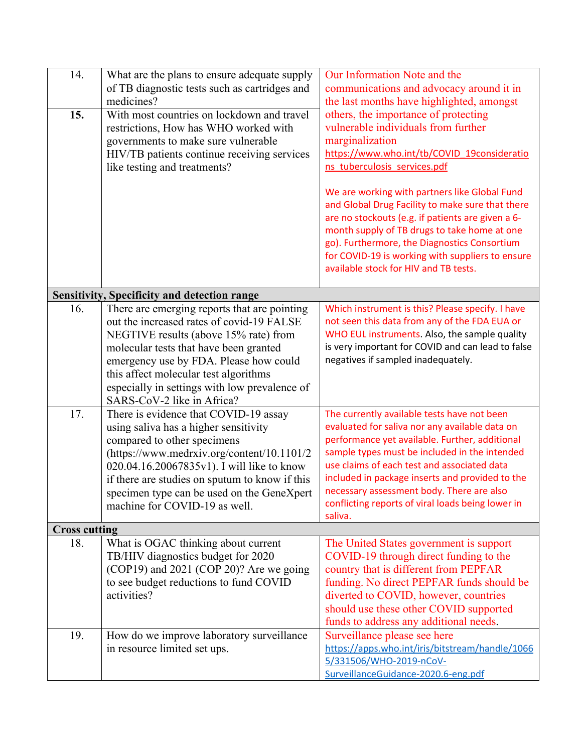| 14.<br>15.           | What are the plans to ensure adequate supply<br>of TB diagnostic tests such as cartridges and<br>medicines?<br>With most countries on lockdown and travel<br>restrictions, How has WHO worked with<br>governments to make sure vulnerable<br>HIV/TB patients continue receiving services<br>like testing and treatments?                       | Our Information Note and the<br>communications and advocacy around it in<br>the last months have highlighted, amongst<br>others, the importance of protecting<br>vulnerable individuals from further<br>marginalization<br>https://www.who.int/tb/COVID_19consideratio<br>ns tuberculosis services.pdf                                                                                                          |
|----------------------|------------------------------------------------------------------------------------------------------------------------------------------------------------------------------------------------------------------------------------------------------------------------------------------------------------------------------------------------|-----------------------------------------------------------------------------------------------------------------------------------------------------------------------------------------------------------------------------------------------------------------------------------------------------------------------------------------------------------------------------------------------------------------|
|                      |                                                                                                                                                                                                                                                                                                                                                | We are working with partners like Global Fund<br>and Global Drug Facility to make sure that there<br>are no stockouts (e.g. if patients are given a 6-<br>month supply of TB drugs to take home at one<br>go). Furthermore, the Diagnostics Consortium<br>for COVID-19 is working with suppliers to ensure<br>available stock for HIV and TB tests.                                                             |
|                      | <b>Sensitivity, Specificity and detection range</b>                                                                                                                                                                                                                                                                                            |                                                                                                                                                                                                                                                                                                                                                                                                                 |
| 16.                  | There are emerging reports that are pointing<br>out the increased rates of covid-19 FALSE<br>NEGTIVE results (above 15% rate) from<br>molecular tests that have been granted<br>emergency use by FDA. Please how could<br>this affect molecular test algorithms<br>especially in settings with low prevalence of<br>SARS-CoV-2 like in Africa? | Which instrument is this? Please specify. I have<br>not seen this data from any of the FDA EUA or<br>WHO EUL instruments. Also, the sample quality<br>is very important for COVID and can lead to false<br>negatives if sampled inadequately.                                                                                                                                                                   |
| 17.                  | There is evidence that COVID-19 assay<br>using saliva has a higher sensitivity<br>compared to other specimens<br>(https://www.medrxiv.org/content/10.1101/2<br>020.04.16.20067835v1). I will like to know<br>if there are studies on sputum to know if this<br>specimen type can be used on the GeneXpert<br>machine for COVID-19 as well.     | The currently available tests have not been<br>evaluated for saliva nor any available data on<br>performance yet available. Further, additional<br>sample types must be included in the intended<br>use claims of each test and associated data<br>included in package inserts and provided to the<br>necessary assessment body. There are also<br>conflicting reports of viral loads being lower in<br>saliva. |
| <b>Cross cutting</b> |                                                                                                                                                                                                                                                                                                                                                |                                                                                                                                                                                                                                                                                                                                                                                                                 |
| 18.                  | What is OGAC thinking about current<br>TB/HIV diagnostics budget for 2020<br>(COP19) and 2021 (COP 20)? Are we going<br>to see budget reductions to fund COVID<br>activities?                                                                                                                                                                  | The United States government is support<br>COVID-19 through direct funding to the<br>country that is different from PEPFAR<br>funding. No direct PEPFAR funds should be<br>diverted to COVID, however, countries<br>should use these other COVID supported<br>funds to address any additional needs.                                                                                                            |
| 19.                  | How do we improve laboratory surveillance<br>in resource limited set ups.                                                                                                                                                                                                                                                                      | Surveillance please see here<br>https://apps.who.int/iris/bitstream/handle/1066<br>5/331506/WHO-2019-nCoV-<br>SurveillanceGuidance-2020.6-eng.pdf                                                                                                                                                                                                                                                               |